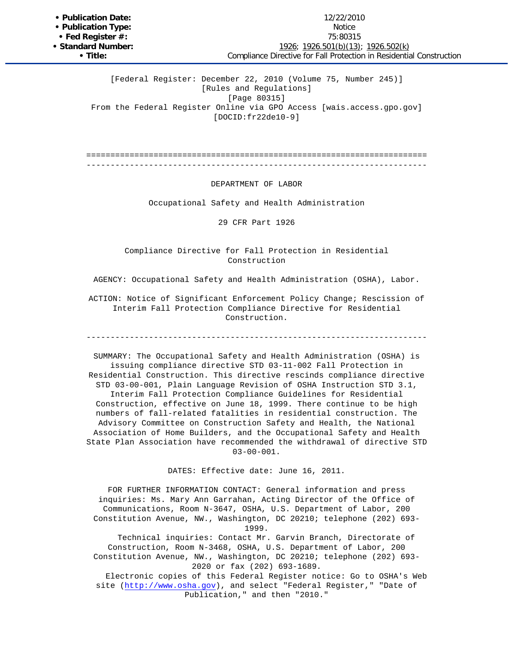**• Publication Date:** 12/22/2010 • Publication Type: Notice **Publication Type: • Fed Register #:** 75:80315 **• Standard Number:** [1926;](http://www.osha.gov/pls/oshaweb/owalink.query_links?src_doc_type=FEDERAL_REGISTER&src_unique_file=FED20101222&src_anchor_name=1926) [1926.501\(b\)\(13\);](http://www.osha.gov/pls/oshaweb/owalink.query_links?src_doc_type=FEDERAL_REGISTER&src_unique_file=FED20101222&src_anchor_name=1926.501(b)(13)) [1926.502\(k\)](http://www.osha.gov/pls/oshaweb/owalink.query_links?src_doc_type=FEDERAL_REGISTER&src_unique_file=FED20101222&src_anchor_name=1926.502(k)) **• Title:** Compliance Directive for Fall Protection in Residential Construction

[Federal Register: December 22, 2010 (Volume 75, Number 245)] [Rules and Regulations] [Page 80315] From the Federal Register Online via GPO Access [wais.access.gpo.gov] [DOCID:fr22de10-9]

======================================================================= -----------------------------------------------------------------------

DEPARTMENT OF LABOR

Occupational Safety and Health Administration

29 CFR Part 1926

Compliance Directive for Fall Protection in Residential Construction

AGENCY: Occupational Safety and Health Administration (OSHA), Labor.

ACTION: Notice of Significant Enforcement Policy Change; Rescission of Interim Fall Protection Compliance Directive for Residential Construction.

-----------------------------------------------------------------------

SUMMARY: The Occupational Safety and Health Administration (OSHA) is issuing compliance directive STD 03-11-002 Fall Protection in Residential Construction. This directive rescinds compliance directive STD 03-00-001, Plain Language Revision of OSHA Instruction STD 3.1, Interim Fall Protection Compliance Guidelines for Residential Construction, effective on June 18, 1999. There continue to be high numbers of fall-related fatalities in residential construction. The Advisory Committee on Construction Safety and Health, the National Association of Home Builders, and the Occupational Safety and Health State Plan Association have recommended the withdrawal of directive STD  $03-00-001$ .

DATES: Effective date: June 16, 2011.

FOR FURTHER INFORMATION CONTACT: General information and press inquiries: Ms. Mary Ann Garrahan, Acting Director of the Office of Communications, Room N-3647, OSHA, U.S. Department of Labor, 200 Constitution Avenue, NW., Washington, DC 20210; telephone (202) 693- 1999.

 Technical inquiries: Contact Mr. Garvin Branch, Directorate of Construction, Room N-3468, OSHA, U.S. Department of Labor, 200 Constitution Avenue, NW., Washington, DC 20210; telephone (202) 693- 2020 or fax (202) 693-1689.

 Electronic copies of this Federal Register notice: Go to OSHA's Web site [\(http://www.osha.gov\)](http://www.osha.gov/index.html), and select "Federal Register," "Date of Publication," and then "2010."